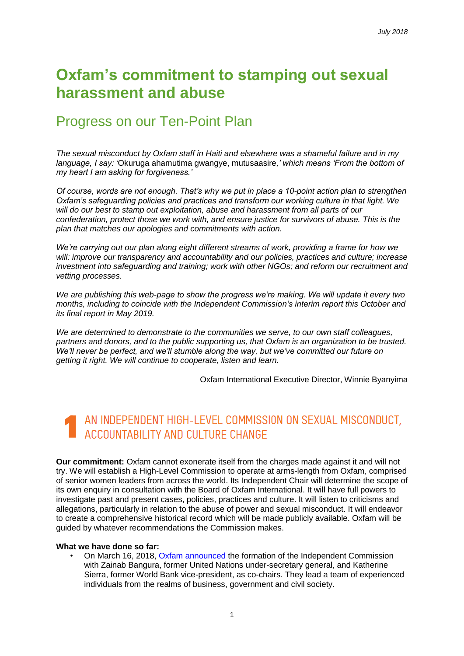## **Oxfam's commitment to stamping out sexual harassment and abuse**

## Progress on our Ten-Point Plan

*The sexual misconduct by Oxfam staff in Haiti and elsewhere was a shameful failure and in my language, I say: '*Okuruga ahamutima gwangye, mutusaasire*,' which means 'From the bottom of my heart I am asking for forgiveness.'*

*Of course, words are not enough. That's why we put in place a 10-point action plan to strengthen Oxfam's safeguarding policies and practices and transform our working culture in that light. We will do our best to stamp out exploitation, abuse and harassment from all parts of our confederation, protect those we work with, and ensure justice for survivors of abuse. This is the plan that matches our apologies and commitments with action.*

*We're carrying out our plan along eight different streams of work, providing a frame for how we will: improve our transparency and accountability and our policies, practices and culture; increase investment into safeguarding and training; work with other NGOs; and reform our recruitment and vetting processes.*

*We are publishing this web-page to show the progress we're making. We will update it every two months, including to coincide with the Independent Commission's interim report this October and its final report in May 2019.*

*We are determined to demonstrate to the communities we serve, to our own staff colleagues, partners and donors, and to the public supporting us, that Oxfam is an organization to be trusted. We'll never be perfect, and we'll stumble along the way, but we've committed our future on getting it right. We will continue to cooperate, listen and learn.* 

Oxfam International Executive Director, Winnie Byanyima

### AN INDEPENDENT HIGH-LEVEL COMMISSION ON SEXUAL MISCONDUCT, ACCOUNTABILITY AND CULTURE CHANGE

**Our commitment:** Oxfam cannot exonerate itself from the charges made against it and will not try. We will establish a High-Level Commission to operate at arms-length from Oxfam, comprised of senior women leaders from across the world. Its Independent Chair will determine the scope of its own enquiry in consultation with the Board of Oxfam International. It will have full powers to investigate past and present cases, policies, practices and culture. It will listen to criticisms and allegations, particularly in relation to the abuse of power and sexual misconduct. It will endeavor to create a comprehensive historical record which will be made publicly available. Oxfam will be guided by whatever recommendations the Commission makes.

#### **What we have done so far:**

• On March 16, 2018, [Oxfam announced](https://www.oxfam.org/en/pressroom/pressreleases/2018-03-16/oxfam-announces-zainab-bangura-and-katherine-sierra-co-lead) the formation of the Independent Commission with Zainab Bangura, former United Nations under-secretary general, and Katherine Sierra, former World Bank vice-president, as co-chairs. They lead a team of experienced individuals from the realms of business, government and civil society.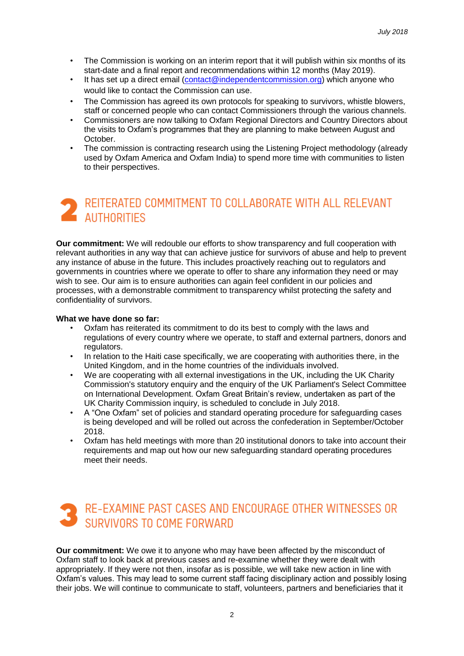- The Commission is working on an interim report that it will publish within six months of its start-date and a final report and recommendations within 12 months (May 2019).
- It has set up a direct email [\(contact@independentcommission.org\)](mailto:contact@independentcommission.org) which anyone who would like to contact the Commission can use.
- The Commission has agreed its own protocols for speaking to survivors, whistle blowers, staff or concerned people who can contact Commissioners through the various channels.
- Commissioners are now talking to Oxfam Regional Directors and Country Directors about the visits to Oxfam's programmes that they are planning to make between August and October.
- The commission is contracting research using the Listening Project methodology (already used by Oxfam America and Oxfam India) to spend more time with communities to listen to their perspectives.

## REITERATED COMMITMENT TO COLLABORATE WITH ALL RELEVANT **2** REILERATED U

**Our commitment:** We will redouble our efforts to show transparency and full cooperation with relevant authorities in any way that can achieve justice for survivors of abuse and help to prevent any instance of abuse in the future. This includes proactively reaching out to regulators and governments in countries where we operate to offer to share any information they need or may wish to see. Our aim is to ensure authorities can again feel confident in our policies and processes, with a demonstrable commitment to transparency whilst protecting the safety and confidentiality of survivors.

#### **What we have done so far:**

- Oxfam has reiterated its commitment to do its best to comply with the laws and regulations of every country where we operate, to staff and external partners, donors and regulators.
- In relation to the Haiti case specifically, we are cooperating with authorities there, in the United Kingdom, and in the home countries of the individuals involved.
- We are cooperating with all external investigations in the UK, including the UK Charity Commission's statutory enquiry and the enquiry of the UK Parliament's Select Committee on International Development. Oxfam Great Britain's review, undertaken as part of the UK Charity Commission inquiry, is scheduled to conclude in July 2018.
- A "One Oxfam" set of policies and standard operating procedure for safeguarding cases is being developed and will be rolled out across the confederation in September/October 2018.
- Oxfam has held meetings with more than 20 institutional donors to take into account their requirements and map out how our new safeguarding standard operating procedures meet their needs.

### RE-EXAMINE PAST CASES AND ENCOURAGE OTHER WITNESSES OR SURVIVORS TO COMF FORWARD

**Our commitment:** We owe it to anyone who may have been affected by the misconduct of Oxfam staff to look back at previous cases and re-examine whether they were dealt with appropriately. If they were not then, insofar as is possible, we will take new action in line with Oxfam's values. This may lead to some current staff facing disciplinary action and possibly losing their jobs. We will continue to communicate to staff, volunteers, partners and beneficiaries that it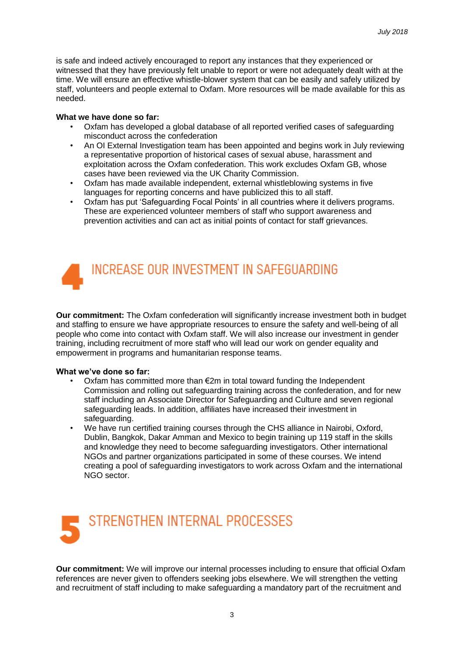is safe and indeed actively encouraged to report any instances that they experienced or witnessed that they have previously felt unable to report or were not adequately dealt with at the time. We will ensure an effective whistle-blower system that can be easily and safely utilized by staff, volunteers and people external to Oxfam. More resources will be made available for this as needed.

#### **What we have done so far:**

- Oxfam has developed a global database of all reported verified cases of safeguarding misconduct across the confederation
- An OI External Investigation team has been appointed and begins work in July reviewing a representative proportion of historical cases of sexual abuse, harassment and exploitation across the Oxfam confederation. This work excludes Oxfam GB, whose cases have been reviewed via the UK Charity Commission.
- Oxfam has made available independent, external whistleblowing systems in five languages for reporting concerns and have publicized this to all staff.
- Oxfam has put 'Safeguarding Focal Points' in all countries where it delivers programs. These are experienced volunteer members of staff who support awareness and prevention activities and can act as initial points of contact for staff grievances.



**Our commitment:** The Oxfam confederation will significantly increase investment both in budget and staffing to ensure we have appropriate resources to ensure the safety and well-being of all people who come into contact with Oxfam staff. We will also increase our investment in gender training, including recruitment of more staff who will lead our work on gender equality and empowerment in programs and humanitarian response teams.

#### **What we've done so far:**

- Oxfam has committed more than €2m in total toward funding the Independent Commission and rolling out safeguarding training across the confederation, and for new staff including an Associate Director for Safeguarding and Culture and seven regional safeguarding leads. In addition, affiliates have increased their investment in safeguarding.
- We have run certified training courses through the CHS alliance in Nairobi, Oxford, Dublin, Bangkok, Dakar Amman and Mexico to begin training up 119 staff in the skills and knowledge they need to become safeguarding investigators. Other international NGOs and partner organizations participated in some of these courses. We intend creating a pool of safeguarding investigators to work across Oxfam and the international NGO sector.



**Our commitment:** We will improve our internal processes including to ensure that official Oxfam references are never given to offenders seeking jobs elsewhere. We will strengthen the vetting and recruitment of staff including to make safeguarding a mandatory part of the recruitment and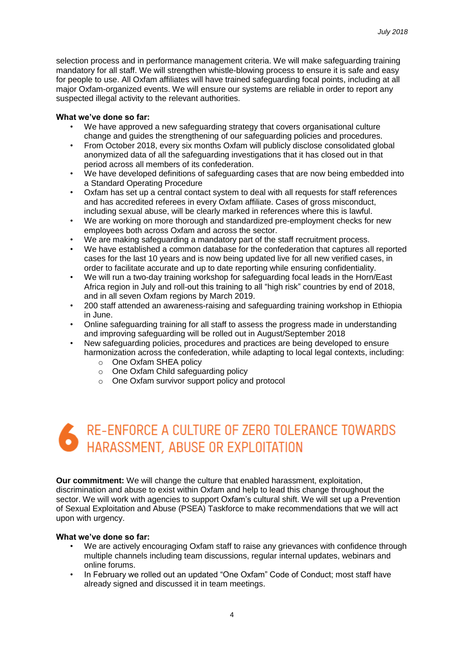selection process and in performance management criteria. We will make safeguarding training mandatory for all staff. We will strengthen whistle-blowing process to ensure it is safe and easy for people to use. All Oxfam affiliates will have trained safeguarding focal points, including at all major Oxfam-organized events. We will ensure our systems are reliable in order to report any suspected illegal activity to the relevant authorities.

#### **What we've done so far:**

- We have approved a new safeguarding strategy that covers organisational culture change and guides the strengthening of our safeguarding policies and procedures.
- From October 2018, every six months Oxfam will publicly disclose consolidated global anonymized data of all the safeguarding investigations that it has closed out in that period across all members of its confederation.
- We have developed definitions of safeguarding cases that are now being embedded into a Standard Operating Procedure
- Oxfam has set up a central contact system to deal with all requests for staff references and has accredited referees in every Oxfam affiliate. Cases of gross misconduct, including sexual abuse, will be clearly marked in references where this is lawful.
- We are working on more thorough and standardized pre-employment checks for new employees both across Oxfam and across the sector.
- We are making safeguarding a mandatory part of the staff recruitment process.
- We have established a common database for the confederation that captures all reported cases for the last 10 years and is now being updated live for all new verified cases, in order to facilitate accurate and up to date reporting while ensuring confidentiality.
- We will run a two-day training workshop for safeguarding focal leads in the Horn/East Africa region in July and roll-out this training to all "high risk" countries by end of 2018, and in all seven Oxfam regions by March 2019.
- 200 staff attended an awareness-raising and safeguarding training workshop in Ethiopia in June.
- Online safeguarding training for all staff to assess the progress made in understanding and improving safeguarding will be rolled out in August/September 2018
- New safeguarding policies, procedures and practices are being developed to ensure harmonization across the confederation, while adapting to local legal contexts, including:
	- o One Oxfam SHEA policy
	- o One Oxfam Child safeguarding policy
	- o One Oxfam survivor support policy and protocol



**Our commitment:** We will change the culture that enabled harassment, exploitation, discrimination and abuse to exist within Oxfam and help to lead this change throughout the sector. We will work with agencies to support Oxfam's cultural shift. We will set up a Prevention of Sexual Exploitation and Abuse (PSEA) Taskforce to make recommendations that we will act upon with urgency.

#### **What we've done so far:**

- We are actively encouraging Oxfam staff to raise any grievances with confidence through multiple channels including team discussions, regular internal updates, webinars and online forums.
- In February we rolled out an updated "One Oxfam" Code of Conduct; most staff have already signed and discussed it in team meetings.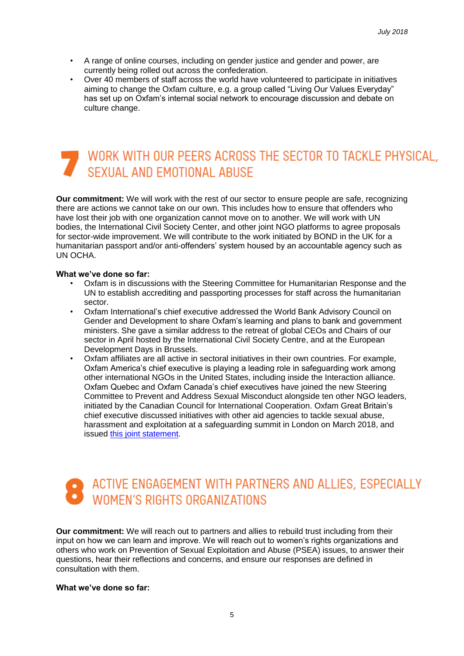- A range of online courses, including on gender justice and gender and power, are currently being rolled out across the confederation.
- Over 40 members of staff across the world have volunteered to participate in initiatives aiming to change the Oxfam culture, e.g. a group called "Living Our Values Everyday" has set up on Oxfam's internal social network to encourage discussion and debate on culture change.

## WORK WITH OUR PEERS ACROSS THE SECTOR TO TACKLE PHYSICAL, SEXUAL AND EMOTIONAL ABUSE

**Our commitment:** We will work with the rest of our sector to ensure people are safe, recognizing there are actions we cannot take on our own. This includes how to ensure that offenders who have lost their job with one organization cannot move on to another. We will work with UN bodies, the International Civil Society Center, and other joint NGO platforms to agree proposals for sector-wide improvement. We will contribute to the work initiated by BOND in the UK for a humanitarian passport and/or anti-offenders' system housed by an accountable agency such as UN OCHA.

#### **What we've done so far:**

- Oxfam is in discussions with the Steering Committee for Humanitarian Response and the UN to establish accrediting and passporting processes for staff across the humanitarian sector.
- Oxfam International's chief executive addressed the World Bank Advisory Council on Gender and Development to share Oxfam's learning and plans to bank and government ministers. She gave a similar address to the retreat of global CEOs and Chairs of our sector in April hosted by the International Civil Society Centre, and at the European Development Days in Brussels.
- Oxfam affiliates are all active in sectoral initiatives in their own countries. For example, Oxfam America's chief executive is playing a leading role in safeguarding work among other international NGOs in the United States, including inside the Interaction alliance. Oxfam Quebec and Oxfam Canada's chief executives have joined the new Steering Committee to Prevent and Address Sexual Misconduct alongside ten other NGO leaders, initiated by the Canadian Council for International Cooperation. Oxfam Great Britain's chief executive discussed initiatives with other aid agencies to tackle sexual abuse, harassment and exploitation at a safeguarding summit in London on March 2018, and issued [this joint statement.](https://www.bond.org.uk/news/2018/03/ngos-and-government-jointly-commit-to-improving-safeguarding-standards)

# ACTIVE ENGAGEMENT WITH PARTNERS AND ALLIES, ESPECIALLY<br>WOMEN'S RIGHTS ORGANIZATIONS

**Our commitment:** We will reach out to partners and allies to rebuild trust including from their input on how we can learn and improve. We will reach out to women's rights organizations and others who work on Prevention of Sexual Exploitation and Abuse (PSEA) issues, to answer their questions, hear their reflections and concerns, and ensure our responses are defined in consultation with them.

#### **What we've done so far:**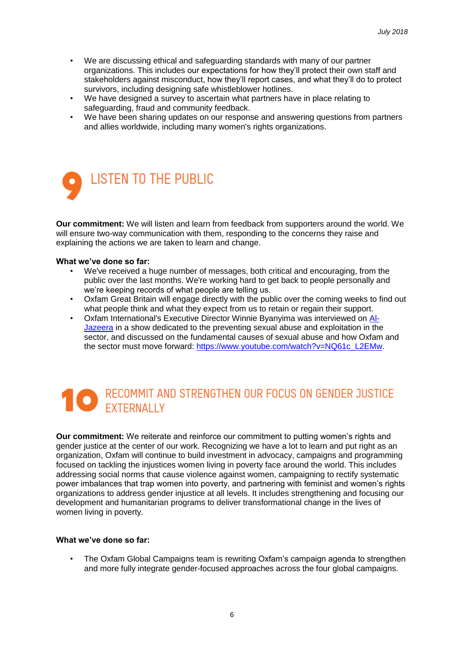- We are discussing ethical and safeguarding standards with many of our partner organizations. This includes our expectations for how they'll protect their own staff and stakeholders against misconduct, how they'll report cases, and what they'll do to protect survivors, including designing safe whistleblower hotlines.
- We have designed a survey to ascertain what partners have in place relating to safeguarding, fraud and community feedback.
- We have been sharing updates on our response and answering questions from partners and allies worldwide, including many women's rights organizations.



**Our commitment:** We will listen and learn from feedback from supporters around the world. We will ensure two-way communication with them, responding to the concerns they raise and explaining the actions we are taken to learn and change.

#### **What we've done so far:**

- We've received a huge number of messages, both critical and encouraging, from the public over the last months. We're working hard to get back to people personally and we're keeping records of what people are telling us.
- Oxfam Great Britain will engage directly with the public over the coming weeks to find out what people think and what they expect from us to retain or regain their support.
- Oxfam International's Executive Director Winnie Byanyima was interviewed on [Al-](https://www.youtube.com/watch?v=NQ61c_L2EMw)[Jazeera](https://www.youtube.com/watch?v=NQ61c_L2EMw) in a show dedicated to the preventing sexual abuse and exploitation in the sector, and discussed on the fundamental causes of sexual abuse and how Oxfam and the sector must move forward: [https://www.youtube.com/watch?v=NQ61c\\_L2EMw.](https://www.youtube.com/watch?v=NQ61c_L2EMw)

# RECOMMIT AND STRENGTHEN OUR FOCUS ON GENDER JUSTICE

**Our commitment:** We reiterate and reinforce our commitment to putting women's rights and gender justice at the center of our work. Recognizing we have a lot to learn and put right as an organization, Oxfam will continue to build investment in advocacy, campaigns and programming focused on tackling the injustices women living in poverty face around the world. This includes addressing social norms that cause violence against women, campaigning to rectify systematic power imbalances that trap women into poverty, and partnering with feminist and women's rights organizations to address gender injustice at all levels. It includes strengthening and focusing our development and humanitarian programs to deliver transformational change in the lives of women living in poverty.

#### **What we've done so far:**

• The Oxfam Global Campaigns team is rewriting Oxfam's campaign agenda to strengthen and more fully integrate gender-focused approaches across the four global campaigns.